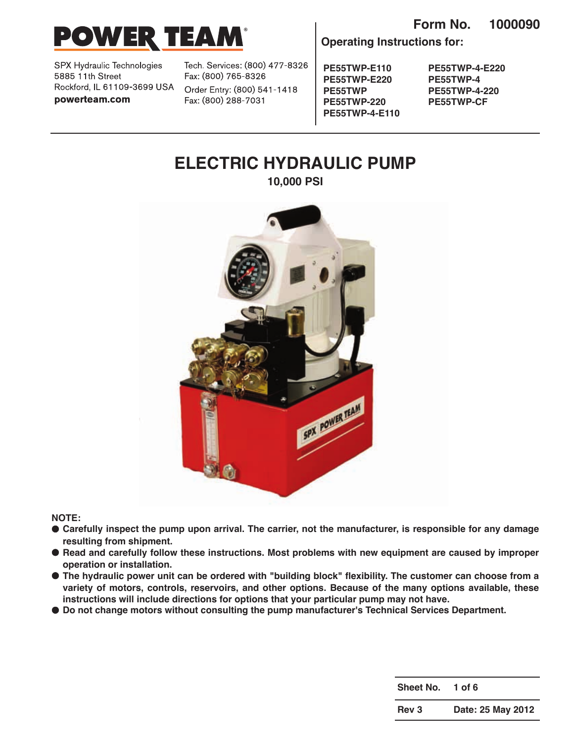



SPX Hydraulic Technologies 5885 11th Street Rockford, IL 61109-3699 USA powerteam.com

Tech. Services: (800) 477-8326 Fax: (800) 765-8326

Order Entry: (800) 541-1418 Fax: (800) 288-7031

**PE55TWP-E110 PE55TWP-E220 PE55TWP PE55TWP-220 PE55TWP-4-E110**

**Operating Instructions for:**

**PE55TWP-4-E220 PE55TWP-4 PE55TWP-4-220 PE55TWP-CF**

# **ELECTRIC HYDRAULIC PUMP 10,000 PSI**

SPX POWER FEAM

**NOTE:**

- **● Carefully inspect the pump upon arrival. The carrier, not the manufacturer, is responsible for any damage resulting from shipment.**
- **● Read and carefully follow these instructions. Most problems with new equipment are caused by improper operation or installation.**
- **● The hydraulic power unit can be ordered with "building block" flexibility. The customer can choose from a variety of motors, controls, reservoirs, and other options. Because of the many options available, these instructions will include directions for options that your particular pump may not have.**
- **● Do not change motors without consulting the pump manufacturer's Technical Services Department.**

**Sheet No. 1 of 6**

**Rev 3 Date: 25 May 2012**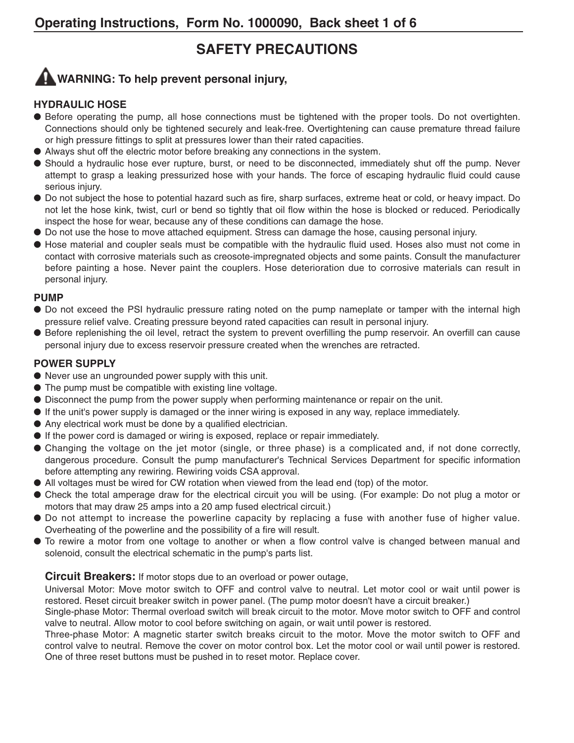# **SAFETY PRECAUTIONS**

# **WARNING: To help prevent personal injury,**

#### **HYDRAULIC HOSE**

- Before operating the pump, all hose connections must be tightened with the proper tools. Do not overtighten. Connections should only be tightened securely and leak-free. Overtightening can cause premature thread failure or high pressure fittings to split at pressures lower than their rated capacities.
- **●** Always shut off the electric motor before breaking any connections in the system.
- **●** Should a hydraulic hose ever rupture, burst, or need to be disconnected, immediately shut off the pump. Never attempt to grasp a leaking pressurized hose with your hands. The force of escaping hydraulic fluid could cause serious injury.
- **●** Do not subject the hose to potential hazard such as fire, sharp surfaces, extreme heat or cold, or heavy impact. Do not let the hose kink, twist, curl or bend so tightly that oil flow within the hose is blocked or reduced. Periodically inspect the hose for wear, because any of these conditions can damage the hose.
- **●** Do not use the hose to move attached equipment. Stress can damage the hose, causing personal injury.
- **●** Hose material and coupler seals must be compatible with the hydraulic fluid used. Hoses also must not come in contact with corrosive materials such as creosote-impregnated objects and some paints. Consult the manufacturer before painting a hose. Never paint the couplers. Hose deterioration due to corrosive materials can result in personal injury.

#### **PUMP**

- **●** Do not exceed the PSI hydraulic pressure rating noted on the pump nameplate or tamper with the internal high pressure relief valve. Creating pressure beyond rated capacities can result in personal injury.
- **●** Before replenishing the oil level, retract the system to prevent overfilling the pump reservoir. An overfill can cause personal injury due to excess reservoir pressure created when the wrenches are retracted.

#### **POWER SUPPLY**

- **●** Never use an ungrounded power supply with this unit.
- **●** The pump must be compatible with existing line voltage.
- **●** Disconnect the pump from the power supply when performing maintenance or repair on the unit.
- **●** If the unit's power supply is damaged or the inner wiring is exposed in any way, replace immediately.
- **●** Any electrical work must be done by a qualified electrician.
- **●** If the power cord is damaged or wiring is exposed, replace or repair immediately.
- **●** Changing the voltage on the jet motor (single, or three phase) is a complicated and, if not done correctly, dangerous procedure. Consult the pump manufacturer's Technical Services Department for specific information before attempting any rewiring. Rewiring voids CSA approval.
- All voltages must be wired for CW rotation when viewed from the lead end (top) of the motor.
- **●** Check the total amperage draw for the electrical circuit you will be using. (For example: Do not plug a motor or motors that may draw 25 amps into a 20 amp fused electrical circuit.)
- **●** Do not attempt to increase the powerline capacity by replacing a fuse with another fuse of higher value. Overheating of the powerline and the possibility of a fire will result.
- **●** To rewire a motor from one voltage to another or when a flow control valve is changed between manual and solenoid, consult the electrical schematic in the pump's parts list.

#### **Circuit Breakers:** If motor stops due to an overload or power outage,

Universal Motor: Move motor switch to OFF and control valve to neutral. Let motor cool or wait until power is restored. Reset circuit breaker switch in power panel. (The pump motor doesn't have a circuit breaker.)

Single-phase Motor: Thermal overload switch will break circuit to the motor. Move motor switch to OFF and control valve to neutral. Allow motor to cool before switching on again, or wait until power is restored.

Three-phase Motor: A magnetic starter switch breaks circuit to the motor. Move the motor switch to OFF and control valve to neutral. Remove the cover on motor control box. Let the motor cool or wail until power is restored. One of three reset buttons must be pushed in to reset motor. Replace cover.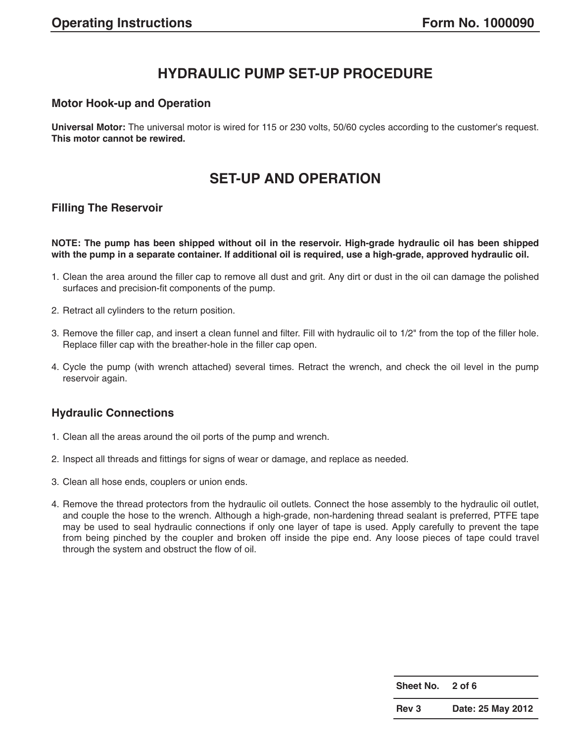# **HYDRAULIC PUMP SET-UP PROCEDURE**

#### **Motor Hook-up and Operation**

**Universal Motor:** The universal motor is wired for 115 or 230 volts, 50/60 cycles according to the customer's request. **This motor cannot be rewired.**

### **SET-UP AND OPERATION**

#### **Filling The Reservoir**

**NOTE: The pump has been shipped without oil in the reservoir. High-grade hydraulic oil has been shipped with the pump in a separate container. If additional oil is required, use a high-grade, approved hydraulic oil.**

- 1. Clean the area around the filler cap to remove all dust and grit. Any dirt or dust in the oil can damage the polished surfaces and precision-fit components of the pump.
- 2. Retract all cylinders to the return position.
- 3. Remove the filler cap, and insert a clean funnel and filter. Fill with hydraulic oil to 1/2" from the top of the filler hole. Replace filler cap with the breather-hole in the filler cap open.
- 4. Cycle the pump (with wrench attached) several times. Retract the wrench, and check the oil level in the pump reservoir again.

### **Hydraulic Connections**

- 1. Clean all the areas around the oil ports of the pump and wrench.
- 2. Inspect all threads and fittings for signs of wear or damage, and replace as needed.
- 3. Clean all hose ends, couplers or union ends.
- 4. Remove the thread protectors from the hydraulic oil outlets. Connect the hose assembly to the hydraulic oil outlet, and couple the hose to the wrench. Although a high-grade, non-hardening thread sealant is preferred, PTFE tape may be used to seal hydraulic connections if only one layer of tape is used. Apply carefully to prevent the tape from being pinched by the coupler and broken off inside the pipe end. Any loose pieces of tape could travel through the system and obstruct the flow of oil.

| Sheet No. | $2$ of 6          |
|-----------|-------------------|
| Rev 3     | Date: 25 May 2012 |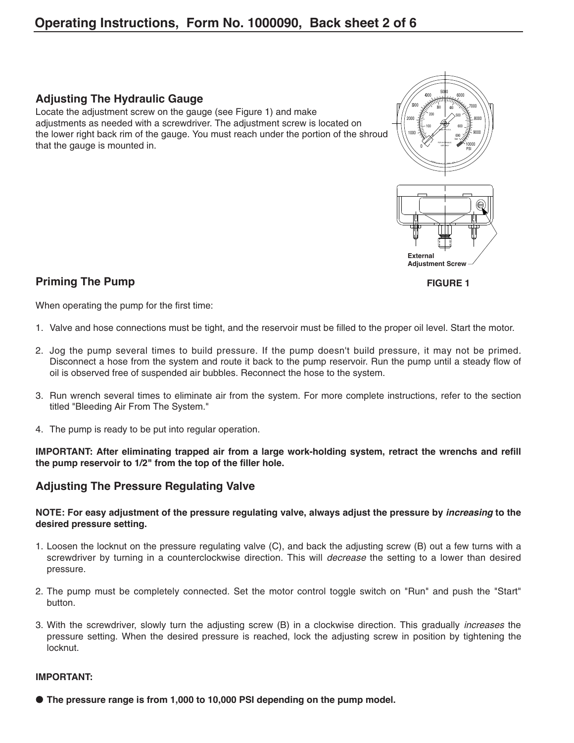### **Adjusting The Hydraulic Gauge**

Locate the adjustment screw on the gauge (see Figure 1) and make adjustments as needed with a screwdriver. The adjustment screw is located on the lower right back rim of the gauge. You must reach under the portion of the shroud that the gauge is mounted in.



**FIGURE 1**

**Priming The Pump**

When operating the pump for the first time:

- 1. Valve and hose connections must be tight, and the reservoir must be filled to the proper oil level. Start the motor.
- 2. Jog the pump several times to build pressure. If the pump doesn't build pressure, it may not be primed. Disconnect a hose from the system and route it back to the pump reservoir. Run the pump until a steady flow of oil is observed free of suspended air bubbles. Reconnect the hose to the system.
- 3. Run wrench several times to eliminate air from the system. For more complete instructions, refer to the section titled "Bleeding Air From The System."
- 4. The pump is ready to be put into regular operation.

**IMPORTANT: After eliminating trapped air from a large work-holding system, retract the wrenchs and refill the pump reservoir to 1/2" from the top of the filler hole.**

### **Adjusting The Pressure Regulating Valve**

**NOTE: For easy adjustment of the pressure regulating valve, always adjust the pressure by increasing to the desired pressure setting.**

- 1. Loosen the locknut on the pressure regulating valve (C), and back the adjusting screw (B) out a few turns with a screwdriver by turning in a counterclockwise direction. This will *decrease* the setting to a lower than desired pressure.
- 2. The pump must be completely connected. Set the motor control toggle switch on "Run" and push the "Start" button.
- 3. With the screwdriver, slowly turn the adjusting screw (B) in a clockwise direction. This gradually increases the pressure setting. When the desired pressure is reached, lock the adjusting screw in position by tightening the locknut.

#### **IMPORTANT:**

**● The pressure range is from 1,000 to 10,000 PSI depending on the pump model.**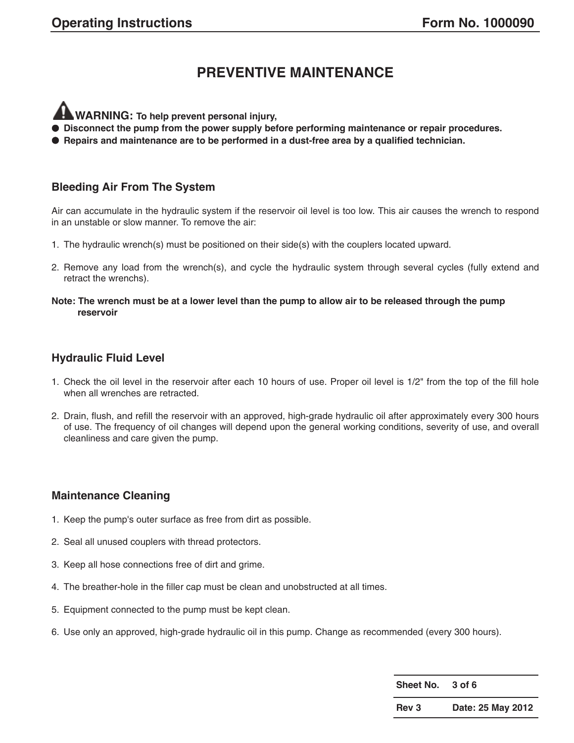# **PREVENTIVE MAINTENANCE**

**WARNING: To help prevent personal injury,**

- **● Disconnect the pump from the power supply before performing maintenance or repair procedures.**
- **● Repairs and maintenance are to be performed in a dust-free area by a qualified technician.**

#### **Bleeding Air From The System**

Air can accumulate in the hydraulic system if the reservoir oil level is too low. This air causes the wrench to respond in an unstable or slow manner. To remove the air:

- 1. The hydraulic wrench(s) must be positioned on their side(s) with the couplers located upward.
- 2. Remove any load from the wrench(s), and cycle the hydraulic system through several cycles (fully extend and retract the wrenchs).
- **Note: The wrench must be at a lower level than the pump to allow air to be released through the pump reservoir**

### **Hydraulic Fluid Level**

- 1. Check the oil level in the reservoir after each 10 hours of use. Proper oil level is 1/2" from the top of the fill hole when all wrenches are retracted.
- 2. Drain, flush, and refill the reservoir with an approved, high-grade hydraulic oil after approximately every 300 hours of use. The frequency of oil changes will depend upon the general working conditions, severity of use, and overall cleanliness and care given the pump.

#### **Maintenance Cleaning**

- 1. Keep the pump's outer surface as free from dirt as possible.
- 2. Seal all unused couplers with thread protectors.
- 3. Keep all hose connections free of dirt and grime.
- 4. The breather-hole in the filler cap must be clean and unobstructed at all times.
- 5. Equipment connected to the pump must be kept clean.
- 6. Use only an approved, high-grade hydraulic oil in this pump. Change as recommended (every 300 hours).

**Sheet No. 3 of 6 Rev 3 Date: 25 May 2012**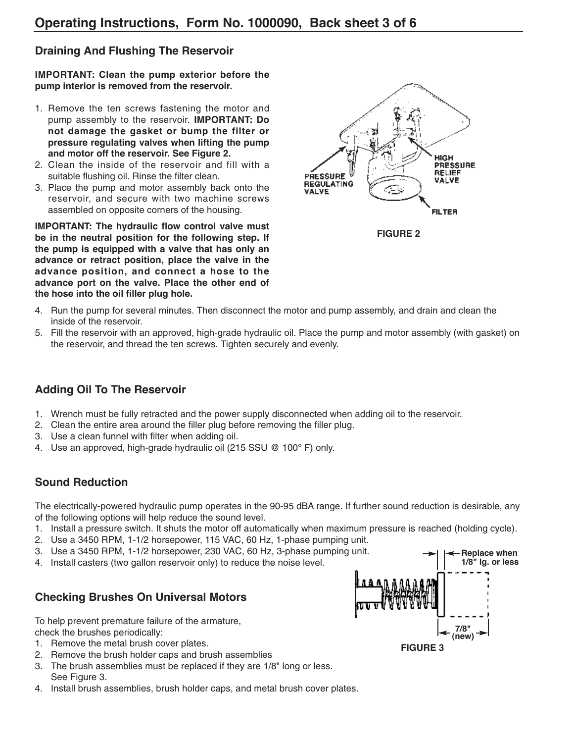### **Draining And Flushing The Reservoir**

**IMPORTANT: Clean the pump exterior before the pump interior is removed from the reservoir.**

- 1. Remove the ten screws fastening the motor and pump assembly to the reservoir. **IMPORTANT: Do not damage the gasket or bump the filter or pressure regulating valves when lifting the pump and motor off the reservoir. See Figure 2.**
- 2. Clean the inside of the reservoir and fill with a suitable flushing oil. Rinse the filter clean.
- 3. Place the pump and motor assembly back onto the reservoir, and secure with two machine screws assembled on opposite corners of the housing.

**IMPORTANT: The hydraulic flow control valve must be in the neutral position for the following step. If the pump is equipped with a valve that has only an advance or retract position, place the valve in the advance position, and connect a hose to the advance port on the valve. Place the other end of the hose into the oil filler plug hole.**



**FIGURE 2**

- 4. Run the pump for several minutes. Then disconnect the motor and pump assembly, and drain and clean the inside of the reservoir.
- 5. Fill the reservoir with an approved, high-grade hydraulic oil. Place the pump and motor assembly (with gasket) on the reservoir, and thread the ten screws. Tighten securely and evenly.

### **Adding Oil To The Reservoir**

- 1. Wrench must be fully retracted and the power supply disconnected when adding oil to the reservoir.
- 2. Clean the entire area around the filler plug before removing the filler plug.
- 3. Use a clean funnel with filter when adding oil.
- 4. Use an approved, high-grade hydraulic oil (215 SSU @ 100° F) only.

### **Sound Reduction**

The electrically-powered hydraulic pump operates in the 90-95 dBA range. If further sound reduction is desirable, any of the following options will help reduce the sound level.

- 1. Install a pressure switch. It shuts the motor off automatically when maximum pressure is reached (holding cycle).
- 2. Use a 3450 RPM, 1-1/2 horsepower, 115 VAC, 60 Hz, 1-phase pumping unit.
- 3. Use a 3450 RPM, 1-1/2 horsepower, 230 VAC, 60 Hz, 3-phase pumping unit.
- 4. Install casters (two gallon reservoir only) to reduce the noise level.

### **Checking Brushes On Universal Motors**

To help prevent premature failure of the armature, check the brushes periodically:

- 1. Remove the metal brush cover plates.
- 2. Remove the brush holder caps and brush assemblies
- 3. The brush assemblies must be replaced if they are 1/8" long or less. See Figure 3.
- 4. Install brush assemblies, brush holder caps, and metal brush cover plates.

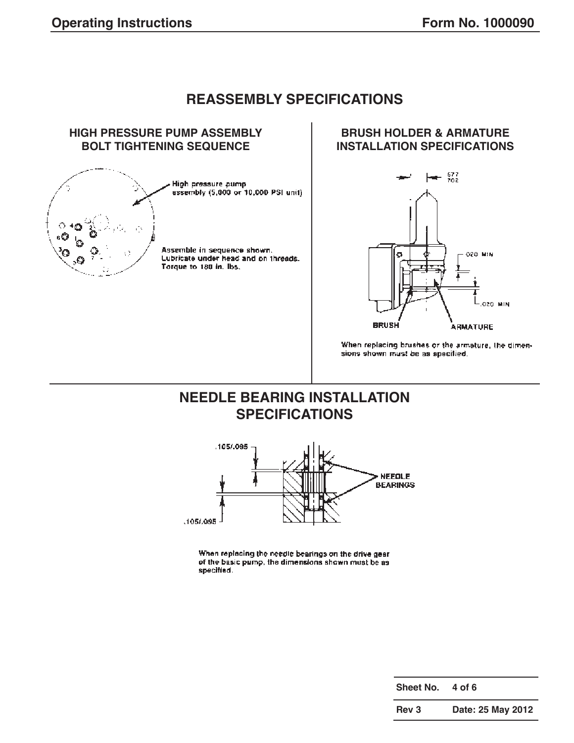# **REASSEMBLY SPECIFICATIONS**



### **BRUSH HOLDER & ARMATURE INSTALLATION SPECIFICATIONS**



When replacing brushes or the armature, the dimensions shown must be as specified.

# **NEEDLE BEARING INSTALLATION SPECIFICATIONS**



When replacing the needle bearings on the drive gear of the basic pump, the dimensions shown must be as specified.

**Rev 3 Date: 25 May 2012**

**Sheet No. 4 of 6**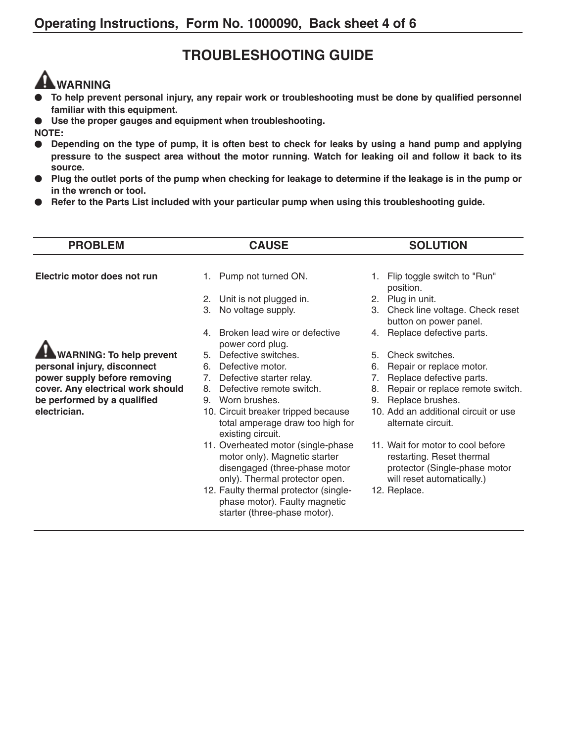# **TROUBLESHOOTING GUIDE**

# **WARNING**

- **● To help prevent personal injury, any repair work or troubleshooting must be done by qualified personnel familiar with this equipment.**
- **● Use the proper gauges and equipment when troubleshooting.**

**NOTE:**

- **● Depending on the type of pump, it is often best to check for leaks by using a hand pump and applying pressure to the suspect area without the motor running. Watch for leaking oil and follow it back to its source.**
- **● Plug the outlet ports of the pump when checking for leakage to determine if the leakage is in the pump or in the wrench or tool.**
- **● Refer to the Parts List included with your particular pump when using this troubleshooting guide.**

| <b>PROBLEM</b>                                                                                   | <b>CAUSE</b>                                                                                                                                                | <b>SOLUTION</b>                                                                                                               |
|--------------------------------------------------------------------------------------------------|-------------------------------------------------------------------------------------------------------------------------------------------------------------|-------------------------------------------------------------------------------------------------------------------------------|
| Electric motor does not run                                                                      | 1. Pump not turned ON.                                                                                                                                      | Flip toggle switch to "Run"<br>1.                                                                                             |
|                                                                                                  | 2. Unit is not plugged in.<br>No voltage supply.<br>3.                                                                                                      | position.<br>Plug in unit.<br>2.<br>Check line voltage. Check reset<br>3.                                                     |
|                                                                                                  | Broken lead wire or defective<br>4                                                                                                                          | button on power panel.<br>Replace defective parts.<br>4.                                                                      |
| <b>WARNING: To help prevent</b>                                                                  | power cord plug.<br>Defective switches.<br>5.                                                                                                               | Check switches.<br>5.                                                                                                         |
| personal injury, disconnect<br>power supply before removing<br>cover. Any electrical work should | Defective motor.<br>6.<br>Defective starter relay.<br>7.<br>Defective remote switch.<br>8.                                                                  | Repair or replace motor.<br>6.<br>Replace defective parts.<br>7.<br>Repair or replace remote switch.<br>8.                    |
| be performed by a qualified<br>electrician.                                                      | Worn brushes.<br>9.<br>10. Circuit breaker tripped because<br>total amperage draw too high for                                                              | Replace brushes.<br>9.<br>10. Add an additional circuit or use<br>alternate circuit.                                          |
|                                                                                                  | existing circuit.<br>11. Overheated motor (single-phase<br>motor only). Magnetic starter<br>disengaged (three-phase motor<br>only). Thermal protector open. | 11. Wait for motor to cool before<br>restarting. Reset thermal<br>protector (Single-phase motor<br>will reset automatically.) |
|                                                                                                  | 12. Faulty thermal protector (single-<br>phase motor). Faulty magnetic<br>starter (three-phase motor).                                                      | 12. Replace.                                                                                                                  |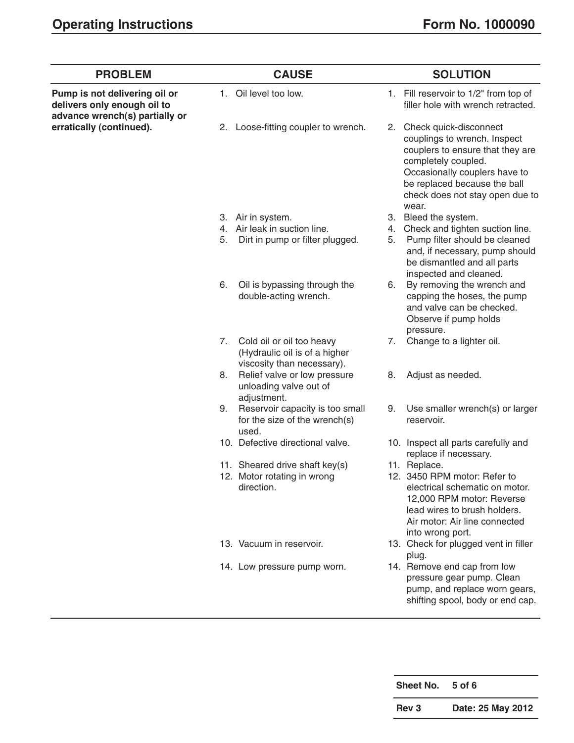| <b>PROBLEM</b>                                               |    | <b>CAUSE</b>                                                                             |    | <b>SOLUTION</b>                                                                                                                                                                                                                   |
|--------------------------------------------------------------|----|------------------------------------------------------------------------------------------|----|-----------------------------------------------------------------------------------------------------------------------------------------------------------------------------------------------------------------------------------|
| Pump is not delivering oil or<br>delivers only enough oil to | 1. | Oil level too low.                                                                       |    | 1. Fill reservoir to 1/2" from top of<br>filler hole with wrench retracted.                                                                                                                                                       |
| advance wrench(s) partially or<br>erratically (continued).   |    | 2. Loose-fitting coupler to wrench.                                                      |    | 2. Check quick-disconnect<br>couplings to wrench. Inspect<br>couplers to ensure that they are<br>completely coupled.<br>Occasionally couplers have to<br>be replaced because the ball<br>check does not stay open due to<br>wear. |
|                                                              |    | 3. Air in system.                                                                        |    | 3. Bleed the system.                                                                                                                                                                                                              |
|                                                              |    | 4. Air leak in suction line.                                                             | 4. | Check and tighten suction line.                                                                                                                                                                                                   |
|                                                              | 5. | Dirt in pump or filter plugged.                                                          | 5. | Pump filter should be cleaned<br>and, if necessary, pump should<br>be dismantled and all parts<br>inspected and cleaned.                                                                                                          |
|                                                              | 6. | Oil is bypassing through the<br>double-acting wrench.                                    | 6. | By removing the wrench and<br>capping the hoses, the pump<br>and valve can be checked.<br>Observe if pump holds<br>pressure.                                                                                                      |
|                                                              | 7. | Cold oil or oil too heavy<br>(Hydraulic oil is of a higher<br>viscosity than necessary). | 7. | Change to a lighter oil.                                                                                                                                                                                                          |
|                                                              | 8. | Relief valve or low pressure<br>unloading valve out of<br>adjustment.                    | 8. | Adjust as needed.                                                                                                                                                                                                                 |
|                                                              | 9. | Reservoir capacity is too small<br>for the size of the wrench(s)<br>used.                | 9. | Use smaller wrench(s) or larger<br>reservoir.                                                                                                                                                                                     |
|                                                              |    | 10. Defective directional valve.                                                         |    | 10. Inspect all parts carefully and<br>replace if necessary.                                                                                                                                                                      |
|                                                              |    | 11. Sheared drive shaft key(s)                                                           |    | 11. Replace.                                                                                                                                                                                                                      |
|                                                              |    | 12. Motor rotating in wrong<br>direction.                                                |    | 12. 3450 RPM motor: Refer to<br>electrical schematic on motor.<br>12,000 RPM motor: Reverse<br>lead wires to brush holders.<br>Air motor: Air line connected<br>into wrong port.                                                  |
|                                                              |    | 13. Vacuum in reservoir.                                                                 |    | 13. Check for plugged vent in filler<br>plug.                                                                                                                                                                                     |
|                                                              |    | 14. Low pressure pump worn.                                                              |    | 14. Remove end cap from low<br>pressure gear pump. Clean<br>pump, and replace worn gears,<br>shifting spool, body or end cap.                                                                                                     |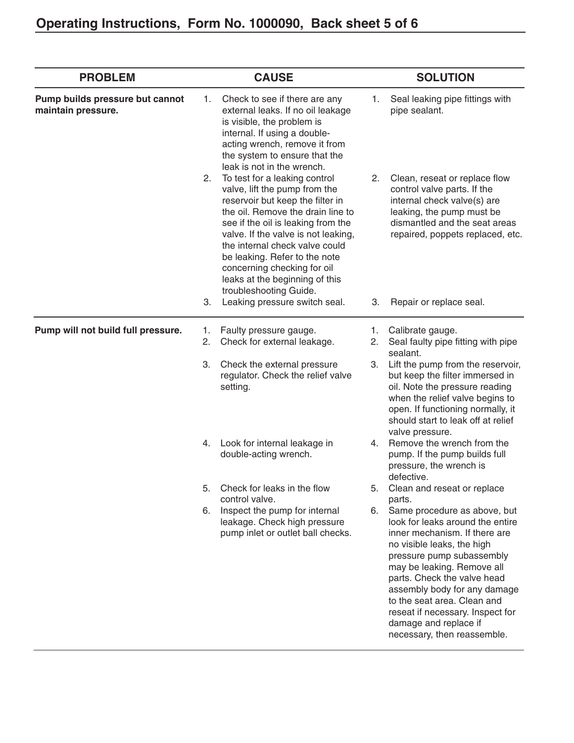| <b>PROBLEM</b>                                        |          | <b>CAUSE</b>                                                                                                                                                                                                                                                                                                                                                                       |          | <b>SOLUTION</b>                                                                                                                                                                                                                                                                                                                                                                      |
|-------------------------------------------------------|----------|------------------------------------------------------------------------------------------------------------------------------------------------------------------------------------------------------------------------------------------------------------------------------------------------------------------------------------------------------------------------------------|----------|--------------------------------------------------------------------------------------------------------------------------------------------------------------------------------------------------------------------------------------------------------------------------------------------------------------------------------------------------------------------------------------|
| Pump builds pressure but cannot<br>maintain pressure. | 1.       | Check to see if there are any<br>external leaks. If no oil leakage<br>is visible, the problem is<br>internal. If using a double-<br>acting wrench, remove it from<br>the system to ensure that the<br>leak is not in the wrench.                                                                                                                                                   | 1.       | Seal leaking pipe fittings with<br>pipe sealant.                                                                                                                                                                                                                                                                                                                                     |
|                                                       | 2.       | To test for a leaking control<br>valve, lift the pump from the<br>reservoir but keep the filter in<br>the oil. Remove the drain line to<br>see if the oil is leaking from the<br>valve. If the valve is not leaking,<br>the internal check valve could<br>be leaking. Refer to the note<br>concerning checking for oil<br>leaks at the beginning of this<br>troubleshooting Guide. | 2.       | Clean, reseat or replace flow<br>control valve parts. If the<br>internal check valve(s) are<br>leaking, the pump must be<br>dismantled and the seat areas<br>repaired, poppets replaced, etc.                                                                                                                                                                                        |
|                                                       | 3.       | Leaking pressure switch seal.                                                                                                                                                                                                                                                                                                                                                      | 3.       | Repair or replace seal.                                                                                                                                                                                                                                                                                                                                                              |
| Pump will not build full pressure.                    | 1.<br>2. | Faulty pressure gauge.<br>Check for external leakage.                                                                                                                                                                                                                                                                                                                              | 1.<br>2. | Calibrate gauge.<br>Seal faulty pipe fitting with pipe<br>sealant.                                                                                                                                                                                                                                                                                                                   |
|                                                       | 3.       | Check the external pressure<br>regulator. Check the relief valve<br>setting.                                                                                                                                                                                                                                                                                                       | 3.       | Lift the pump from the reservoir,<br>but keep the filter immersed in<br>oil. Note the pressure reading<br>when the relief valve begins to<br>open. If functioning normally, it<br>should start to leak off at relief<br>valve pressure.                                                                                                                                              |
|                                                       | 4.       | Look for internal leakage in<br>double-acting wrench.                                                                                                                                                                                                                                                                                                                              | 4.       | Remove the wrench from the<br>pump. If the pump builds full<br>pressure, the wrench is<br>defective.                                                                                                                                                                                                                                                                                 |
|                                                       | 5.       | Check for leaks in the flow<br>control valve.                                                                                                                                                                                                                                                                                                                                      | 5.       | Clean and reseat or replace<br>parts.                                                                                                                                                                                                                                                                                                                                                |
|                                                       | 6.       | Inspect the pump for internal<br>leakage. Check high pressure<br>pump inlet or outlet ball checks.                                                                                                                                                                                                                                                                                 | 6.       | Same procedure as above, but<br>look for leaks around the entire<br>inner mechanism. If there are<br>no visible leaks, the high<br>pressure pump subassembly<br>may be leaking. Remove all<br>parts. Check the valve head<br>assembly body for any damage<br>to the seat area. Clean and<br>reseat if necessary. Inspect for<br>damage and replace if<br>necessary, then reassemble. |